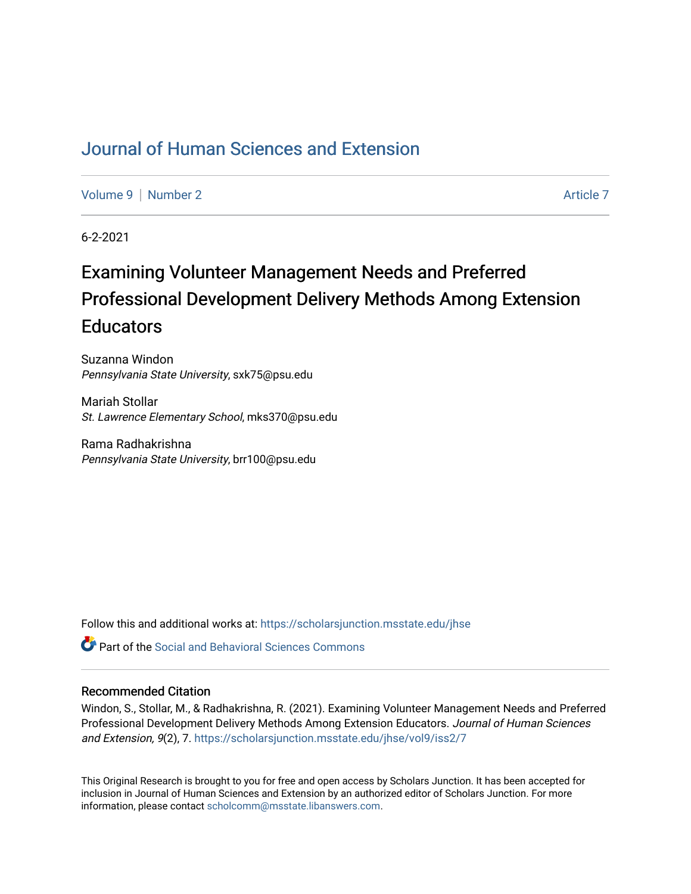# [Journal of Human Sciences and Extension](https://scholarsjunction.msstate.edu/jhse)

[Volume 9](https://scholarsjunction.msstate.edu/jhse/vol9) | [Number 2](https://scholarsjunction.msstate.edu/jhse/vol9/iss2) Article 7

6-2-2021

# Examining Volunteer Management Needs and Preferred Professional Development Delivery Methods Among Extension **Educators**

Suzanna Windon Pennsylvania State University, sxk75@psu.edu

Mariah Stollar St. Lawrence Elementary School, mks370@psu.edu

Rama Radhakrishna Pennsylvania State University, brr100@psu.edu

Follow this and additional works at: [https://scholarsjunction.msstate.edu/jhse](https://scholarsjunction.msstate.edu/jhse?utm_source=scholarsjunction.msstate.edu%2Fjhse%2Fvol9%2Fiss2%2F7&utm_medium=PDF&utm_campaign=PDFCoverPages)

 $\bullet$  Part of the Social and Behavioral Sciences Commons

#### Recommended Citation

Windon, S., Stollar, M., & Radhakrishna, R. (2021). Examining Volunteer Management Needs and Preferred Professional Development Delivery Methods Among Extension Educators. Journal of Human Sciences and Extension, 9(2), 7. [https://scholarsjunction.msstate.edu/jhse/vol9/iss2/7](https://scholarsjunction.msstate.edu/jhse/vol9/iss2/7?utm_source=scholarsjunction.msstate.edu%2Fjhse%2Fvol9%2Fiss2%2F7&utm_medium=PDF&utm_campaign=PDFCoverPages) 

This Original Research is brought to you for free and open access by Scholars Junction. It has been accepted for inclusion in Journal of Human Sciences and Extension by an authorized editor of Scholars Junction. For more information, please contact [scholcomm@msstate.libanswers.com](mailto:scholcomm@msstate.libanswers.com).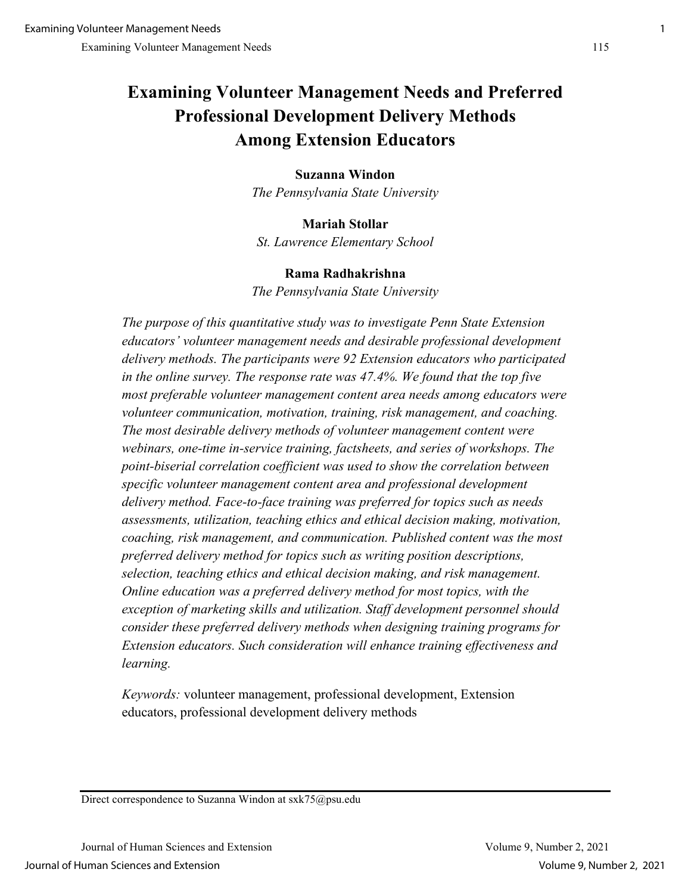# **Examining Volunteer Management Needs and Preferred Professional Development Delivery Methods Among Extension Educators**

### **Suzanna Windon**

*The Pennsylvania State University* 

**Mariah Stollar**  *St. Lawrence Elementary School* 

### **Rama Radhakrishna**

*The Pennsylvania State University* 

*The purpose of this quantitative study was to investigate Penn State Extension educators' volunteer management needs and desirable professional development delivery methods. The participants were 92 Extension educators who participated in the online survey. The response rate was 47.4%. We found that the top five most preferable volunteer management content area needs among educators were volunteer communication, motivation, training, risk management, and coaching. The most desirable delivery methods of volunteer management content were webinars, one-time in-service training, factsheets, and series of workshops. The point-biserial correlation coefficient was used to show the correlation between specific volunteer management content area and professional development delivery method. Face-to-face training was preferred for topics such as needs assessments, utilization, teaching ethics and ethical decision making, motivation, coaching, risk management, and communication. Published content was the most preferred delivery method for topics such as writing position descriptions, selection, teaching ethics and ethical decision making, and risk management. Online education was a preferred delivery method for most topics, with the exception of marketing skills and utilization. Staff development personnel should consider these preferred delivery methods when designing training programs for Extension educators. Such consideration will enhance training effectiveness and learning.* 

*Keywords:* volunteer management, professional development, Extension educators, professional development delivery methods

Direct correspondence to Suzanna Windon at sxk75@psu.edu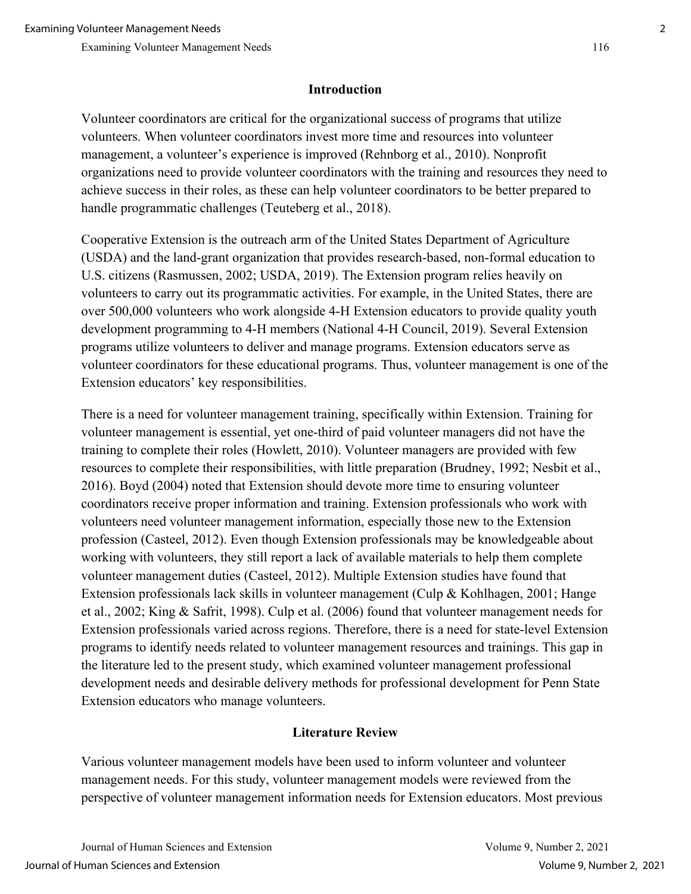## **Introduction**

Volunteer coordinators are critical for the organizational success of programs that utilize volunteers. When volunteer coordinators invest more time and resources into volunteer management, a volunteer's experience is improved (Rehnborg et al., 2010). Nonprofit organizations need to provide volunteer coordinators with the training and resources they need to achieve success in their roles, as these can help volunteer coordinators to be better prepared to handle programmatic challenges (Teuteberg et al., 2018).

Cooperative Extension is the outreach arm of the United States Department of Agriculture (USDA) and the land-grant organization that provides research-based, non-formal education to U.S. citizens (Rasmussen, 2002; USDA, 2019). The Extension program relies heavily on volunteers to carry out its programmatic activities. For example, in the United States, there are over 500,000 volunteers who work alongside 4-H Extension educators to provide quality youth development programming to 4-H members (National 4-H Council, 2019). Several Extension programs utilize volunteers to deliver and manage programs. Extension educators serve as volunteer coordinators for these educational programs. Thus, volunteer management is one of the Extension educators' key responsibilities.

There is a need for volunteer management training, specifically within Extension. Training for volunteer management is essential, yet one-third of paid volunteer managers did not have the training to complete their roles (Howlett, 2010). Volunteer managers are provided with few resources to complete their responsibilities, with little preparation (Brudney, 1992; Nesbit et al., 2016). Boyd (2004) noted that Extension should devote more time to ensuring volunteer coordinators receive proper information and training. Extension professionals who work with volunteers need volunteer management information, especially those new to the Extension profession (Casteel, 2012). Even though Extension professionals may be knowledgeable about working with volunteers, they still report a lack of available materials to help them complete volunteer management duties (Casteel, 2012). Multiple Extension studies have found that Extension professionals lack skills in volunteer management (Culp & Kohlhagen, 2001; Hange et al., 2002; King & Safrit, 1998). Culp et al. (2006) found that volunteer management needs for Extension professionals varied across regions. Therefore, there is a need for state-level Extension programs to identify needs related to volunteer management resources and trainings. This gap in the literature led to the present study, which examined volunteer management professional development needs and desirable delivery methods for professional development for Penn State Extension educators who manage volunteers.

# **Literature Review**

Various volunteer management models have been used to inform volunteer and volunteer management needs. For this study, volunteer management models were reviewed from the perspective of volunteer management information needs for Extension educators. Most previous

Journal of Human Sciences and Extension Volume 9, Number 2, 2021 Journal of Human Sciences and Extension Volume 9, Number 2, 2021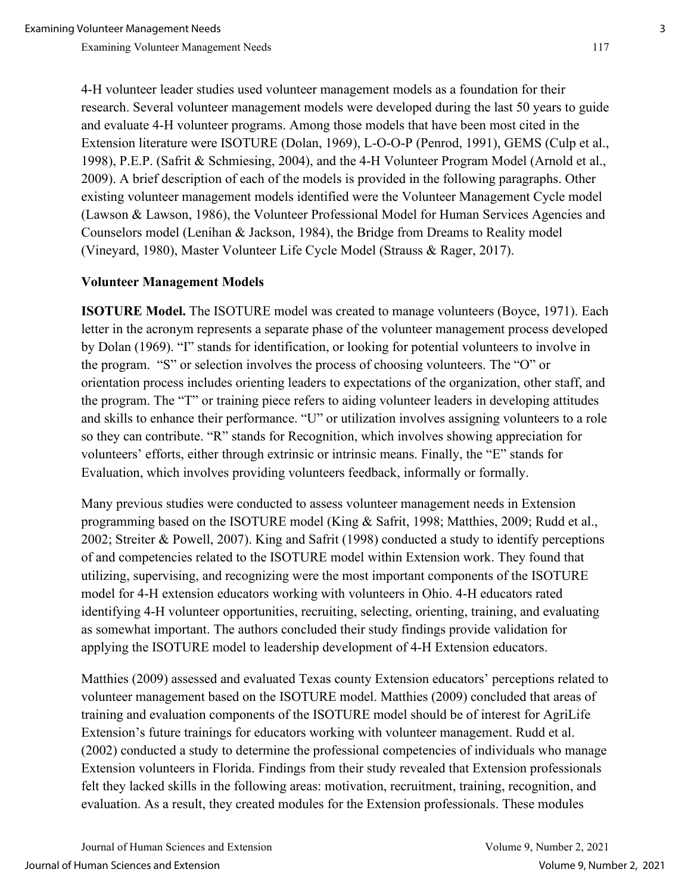4-H volunteer leader studies used volunteer management models as a foundation for their research. Several volunteer management models were developed during the last 50 years to guide and evaluate 4-H volunteer programs. Among those models that have been most cited in the Extension literature were ISOTURE (Dolan, 1969), L-O-O-P (Penrod, 1991), GEMS (Culp et al., 1998), P.E.P. (Safrit & Schmiesing, 2004), and the 4-H Volunteer Program Model (Arnold et al., 2009). A brief description of each of the models is provided in the following paragraphs. Other existing volunteer management models identified were the Volunteer Management Cycle model (Lawson & Lawson, 1986), the Volunteer Professional Model for Human Services Agencies and Counselors model (Lenihan & Jackson, 1984), the Bridge from Dreams to Reality model (Vineyard, 1980), Master Volunteer Life Cycle Model (Strauss & Rager, 2017).

### **Volunteer Management Models**

**ISOTURE Model.** The ISOTURE model was created to manage volunteers (Boyce, 1971). Each letter in the acronym represents a separate phase of the volunteer management process developed by Dolan (1969). "I" stands for identification, or looking for potential volunteers to involve in the program. "S" or selection involves the process of choosing volunteers. The "O" or orientation process includes orienting leaders to expectations of the organization, other staff, and the program. The "T" or training piece refers to aiding volunteer leaders in developing attitudes and skills to enhance their performance. "U" or utilization involves assigning volunteers to a role so they can contribute. "R" stands for Recognition, which involves showing appreciation for volunteers' efforts, either through extrinsic or intrinsic means. Finally, the "E" stands for Evaluation, which involves providing volunteers feedback, informally or formally.

Many previous studies were conducted to assess volunteer management needs in Extension programming based on the ISOTURE model (King & Safrit, 1998; Matthies, 2009; Rudd et al., 2002; Streiter & Powell, 2007). King and Safrit (1998) conducted a study to identify perceptions of and competencies related to the ISOTURE model within Extension work. They found that utilizing, supervising, and recognizing were the most important components of the ISOTURE model for 4-H extension educators working with volunteers in Ohio. 4-H educators rated identifying 4-H volunteer opportunities, recruiting, selecting, orienting, training, and evaluating as somewhat important. The authors concluded their study findings provide validation for applying the ISOTURE model to leadership development of 4-H Extension educators.

Matthies (2009) assessed and evaluated Texas county Extension educators' perceptions related to volunteer management based on the ISOTURE model. Matthies (2009) concluded that areas of training and evaluation components of the ISOTURE model should be of interest for AgriLife Extension's future trainings for educators working with volunteer management. Rudd et al. (2002) conducted a study to determine the professional competencies of individuals who manage Extension volunteers in Florida. Findings from their study revealed that Extension professionals felt they lacked skills in the following areas: motivation, recruitment, training, recognition, and evaluation. As a result, they created modules for the Extension professionals. These modules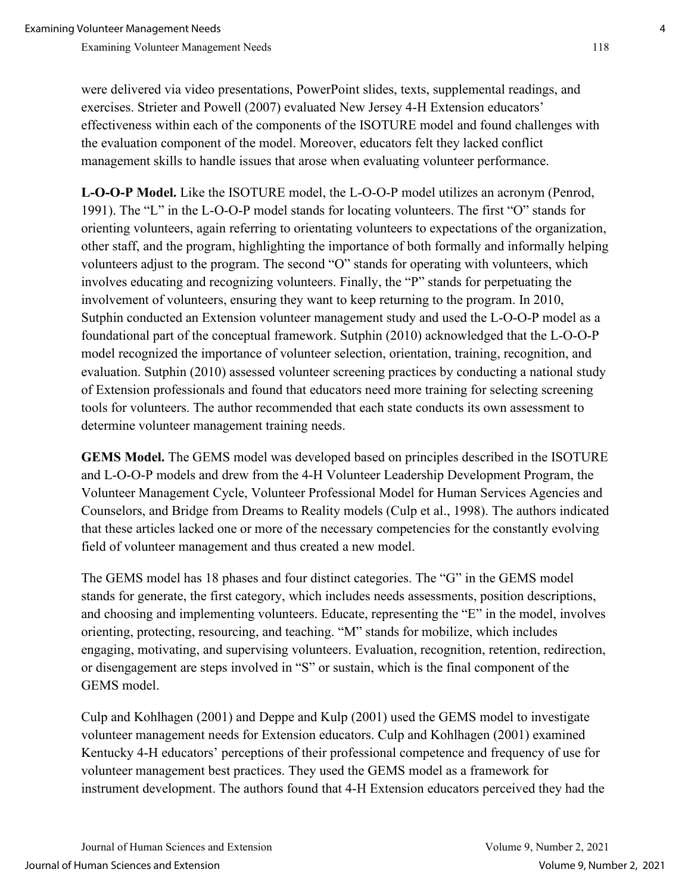were delivered via video presentations, PowerPoint slides, texts, supplemental readings, and exercises. Strieter and Powell (2007) evaluated New Jersey 4-H Extension educators' effectiveness within each of the components of the ISOTURE model and found challenges with the evaluation component of the model. Moreover, educators felt they lacked conflict management skills to handle issues that arose when evaluating volunteer performance.

**L-O-O-P Model.** Like the ISOTURE model, the L-O-O-P model utilizes an acronym (Penrod, 1991). The "L" in the L-O-O-P model stands for locating volunteers. The first "O" stands for orienting volunteers, again referring to orientating volunteers to expectations of the organization, other staff, and the program, highlighting the importance of both formally and informally helping volunteers adjust to the program. The second "O" stands for operating with volunteers, which involves educating and recognizing volunteers. Finally, the "P" stands for perpetuating the involvement of volunteers, ensuring they want to keep returning to the program. In 2010, Sutphin conducted an Extension volunteer management study and used the L-O-O-P model as a foundational part of the conceptual framework. Sutphin (2010) acknowledged that the L-O-O-P model recognized the importance of volunteer selection, orientation, training, recognition, and evaluation. Sutphin (2010) assessed volunteer screening practices by conducting a national study of Extension professionals and found that educators need more training for selecting screening tools for volunteers. The author recommended that each state conducts its own assessment to determine volunteer management training needs.

**GEMS Model.** The GEMS model was developed based on principles described in the ISOTURE and L-O-O-P models and drew from the 4-H Volunteer Leadership Development Program, the Volunteer Management Cycle, Volunteer Professional Model for Human Services Agencies and Counselors, and Bridge from Dreams to Reality models (Culp et al., 1998). The authors indicated that these articles lacked one or more of the necessary competencies for the constantly evolving field of volunteer management and thus created a new model.

The GEMS model has 18 phases and four distinct categories. The "G" in the GEMS model stands for generate, the first category, which includes needs assessments, position descriptions, and choosing and implementing volunteers. Educate, representing the "E" in the model, involves orienting, protecting, resourcing, and teaching. "M" stands for mobilize, which includes engaging, motivating, and supervising volunteers. Evaluation, recognition, retention, redirection, or disengagement are steps involved in "S" or sustain, which is the final component of the GEMS model.

Culp and Kohlhagen (2001) and Deppe and Kulp (2001) used the GEMS model to investigate volunteer management needs for Extension educators. Culp and Kohlhagen (2001) examined Kentucky 4-H educators' perceptions of their professional competence and frequency of use for volunteer management best practices. They used the GEMS model as a framework for instrument development. The authors found that 4-H Extension educators perceived they had the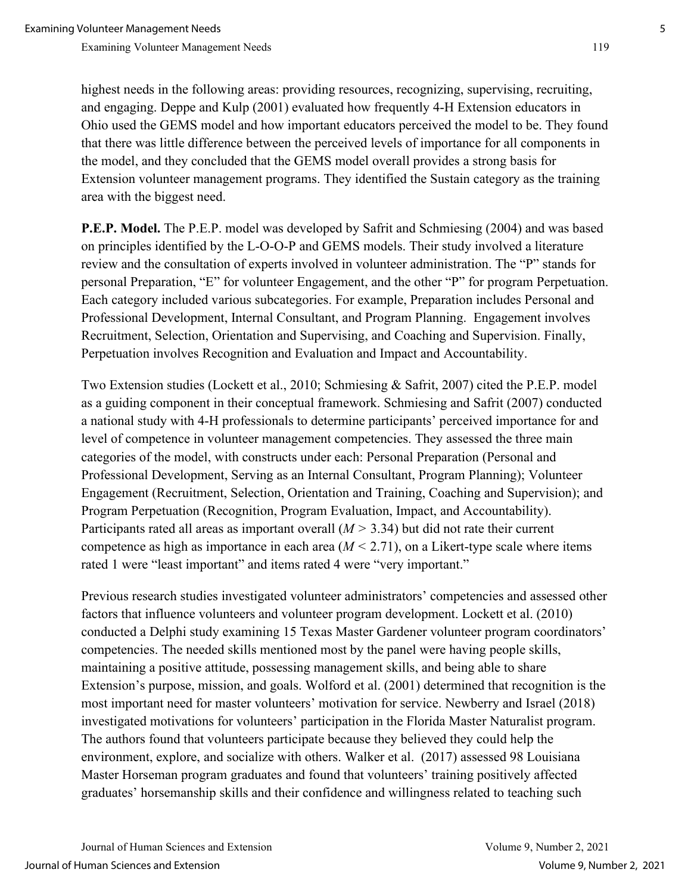highest needs in the following areas: providing resources, recognizing, supervising, recruiting, and engaging. Deppe and Kulp (2001) evaluated how frequently 4-H Extension educators in Ohio used the GEMS model and how important educators perceived the model to be. They found that there was little difference between the perceived levels of importance for all components in the model, and they concluded that the GEMS model overall provides a strong basis for Extension volunteer management programs. They identified the Sustain category as the training area with the biggest need.

**P.E.P. Model.** The P.E.P. model was developed by Safrit and Schmiesing (2004) and was based on principles identified by the L-O-O-P and GEMS models. Their study involved a literature review and the consultation of experts involved in volunteer administration. The "P" stands for personal Preparation, "E" for volunteer Engagement, and the other "P" for program Perpetuation. Each category included various subcategories. For example, Preparation includes Personal and Professional Development, Internal Consultant, and Program Planning. Engagement involves Recruitment, Selection, Orientation and Supervising, and Coaching and Supervision. Finally, Perpetuation involves Recognition and Evaluation and Impact and Accountability.

Two Extension studies (Lockett et al., 2010; Schmiesing & Safrit, 2007) cited the P.E.P. model as a guiding component in their conceptual framework. Schmiesing and Safrit (2007) conducted a national study with 4-H professionals to determine participants' perceived importance for and level of competence in volunteer management competencies. They assessed the three main categories of the model, with constructs under each: Personal Preparation (Personal and Professional Development, Serving as an Internal Consultant, Program Planning); Volunteer Engagement (Recruitment, Selection, Orientation and Training, Coaching and Supervision); and Program Perpetuation (Recognition, Program Evaluation, Impact, and Accountability). Participants rated all areas as important overall (*M >* 3.34) but did not rate their current competence as high as importance in each area  $(M < 2.71)$ , on a Likert-type scale where items rated 1 were "least important" and items rated 4 were "very important."

Previous research studies investigated volunteer administrators' competencies and assessed other factors that influence volunteers and volunteer program development. Lockett et al. (2010) conducted a Delphi study examining 15 Texas Master Gardener volunteer program coordinators' competencies. The needed skills mentioned most by the panel were having people skills, maintaining a positive attitude, possessing management skills, and being able to share Extension's purpose, mission, and goals. Wolford et al. (2001) determined that recognition is the most important need for master volunteers' motivation for service. Newberry and Israel (2018) investigated motivations for volunteers' participation in the Florida Master Naturalist program. The authors found that volunteers participate because they believed they could help the environment, explore, and socialize with others. Walker et al. (2017) assessed 98 Louisiana Master Horseman program graduates and found that volunteers' training positively affected graduates' horsemanship skills and their confidence and willingness related to teaching such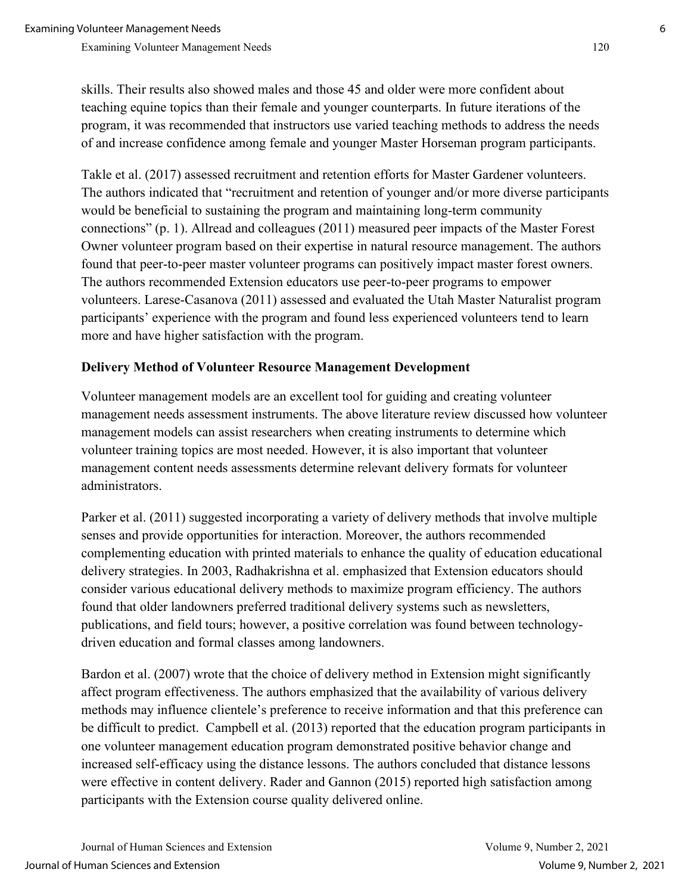skills. Their results also showed males and those 45 and older were more confident about teaching equine topics than their female and younger counterparts. In future iterations of the program, it was recommended that instructors use varied teaching methods to address the needs of and increase confidence among female and younger Master Horseman program participants.

Takle et al. (2017) assessed recruitment and retention efforts for Master Gardener volunteers. The authors indicated that "recruitment and retention of younger and/or more diverse participants would be beneficial to sustaining the program and maintaining long-term community connections" (p. 1). Allread and colleagues (2011) measured peer impacts of the Master Forest Owner volunteer program based on their expertise in natural resource management. The authors found that peer-to-peer master volunteer programs can positively impact master forest owners. The authors recommended Extension educators use peer-to-peer programs to empower volunteers. Larese-Casanova (2011) assessed and evaluated the Utah Master Naturalist program participants' experience with the program and found less experienced volunteers tend to learn more and have higher satisfaction with the program.

## **Delivery Method of Volunteer Resource Management Development**

Volunteer management models are an excellent tool for guiding and creating volunteer management needs assessment instruments. The above literature review discussed how volunteer management models can assist researchers when creating instruments to determine which volunteer training topics are most needed. However, it is also important that volunteer management content needs assessments determine relevant delivery formats for volunteer administrators.

Parker et al. (2011) suggested incorporating a variety of delivery methods that involve multiple senses and provide opportunities for interaction. Moreover, the authors recommended complementing education with printed materials to enhance the quality of education educational delivery strategies. In 2003, Radhakrishna et al. emphasized that Extension educators should consider various educational delivery methods to maximize program efficiency. The authors found that older landowners preferred traditional delivery systems such as newsletters, publications, and field tours; however, a positive correlation was found between technologydriven education and formal classes among landowners.

Bardon et al. (2007) wrote that the choice of delivery method in Extension might significantly affect program effectiveness. The authors emphasized that the availability of various delivery methods may influence clientele's preference to receive information and that this preference can be difficult to predict. Campbell et al. (2013) reported that the education program participants in one volunteer management education program demonstrated positive behavior change and increased self-efficacy using the distance lessons. The authors concluded that distance lessons were effective in content delivery. Rader and Gannon (2015) reported high satisfaction among participants with the Extension course quality delivered online.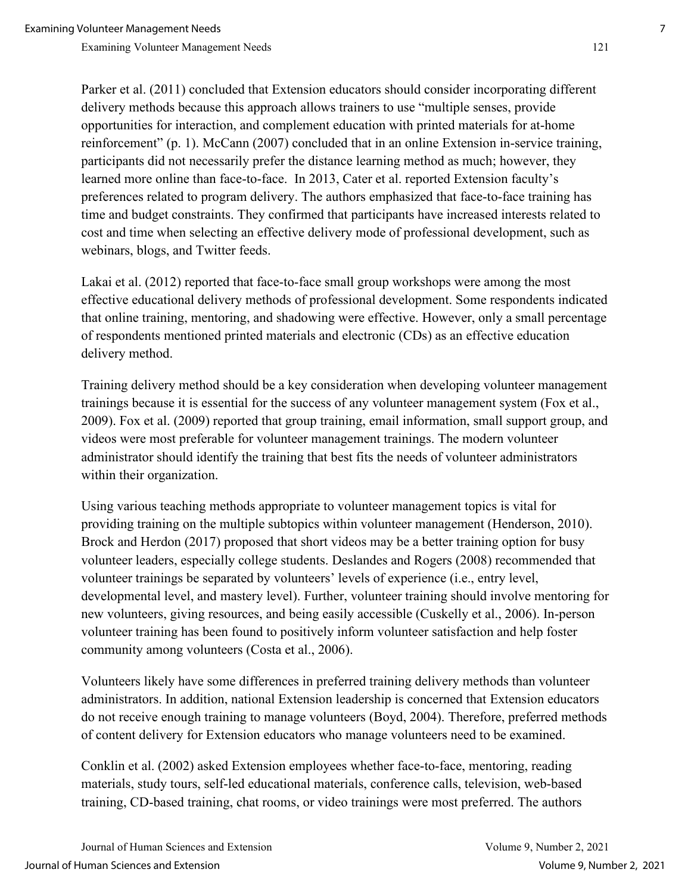Parker et al. (2011) concluded that Extension educators should consider incorporating different delivery methods because this approach allows trainers to use "multiple senses, provide opportunities for interaction, and complement education with printed materials for at-home reinforcement" (p. 1). McCann (2007) concluded that in an online Extension in-service training, participants did not necessarily prefer the distance learning method as much; however, they learned more online than face-to-face. In 2013, Cater et al. reported Extension faculty's preferences related to program delivery. The authors emphasized that face-to-face training has time and budget constraints. They confirmed that participants have increased interests related to cost and time when selecting an effective delivery mode of professional development, such as webinars, blogs, and Twitter feeds.

Lakai et al. (2012) reported that face-to-face small group workshops were among the most effective educational delivery methods of professional development. Some respondents indicated that online training, mentoring, and shadowing were effective. However, only a small percentage of respondents mentioned printed materials and electronic (CDs) as an effective education delivery method.

Training delivery method should be a key consideration when developing volunteer management trainings because it is essential for the success of any volunteer management system (Fox et al., 2009). Fox et al. (2009) reported that group training, email information, small support group, and videos were most preferable for volunteer management trainings. The modern volunteer administrator should identify the training that best fits the needs of volunteer administrators within their organization.

Using various teaching methods appropriate to volunteer management topics is vital for providing training on the multiple subtopics within volunteer management (Henderson, 2010). Brock and Herdon (2017) proposed that short videos may be a better training option for busy volunteer leaders, especially college students. Deslandes and Rogers (2008) recommended that volunteer trainings be separated by volunteers' levels of experience (i.e., entry level, developmental level, and mastery level). Further, volunteer training should involve mentoring for new volunteers, giving resources, and being easily accessible (Cuskelly et al., 2006). In-person volunteer training has been found to positively inform volunteer satisfaction and help foster community among volunteers (Costa et al., 2006).

Volunteers likely have some differences in preferred training delivery methods than volunteer administrators. In addition, national Extension leadership is concerned that Extension educators do not receive enough training to manage volunteers (Boyd, 2004). Therefore, preferred methods of content delivery for Extension educators who manage volunteers need to be examined.

Conklin et al. (2002) asked Extension employees whether face-to-face, mentoring, reading materials, study tours, self-led educational materials, conference calls, television, web-based training, CD-based training, chat rooms, or video trainings were most preferred. The authors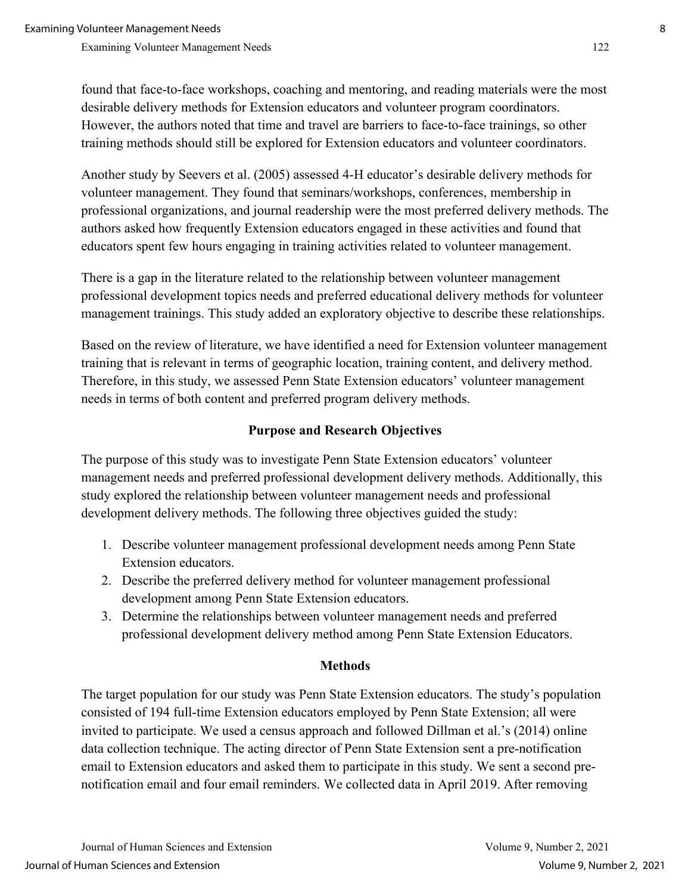found that face-to-face workshops, coaching and mentoring, and reading materials were the most desirable delivery methods for Extension educators and volunteer program coordinators. However, the authors noted that time and travel are barriers to face-to-face trainings, so other training methods should still be explored for Extension educators and volunteer coordinators.

Another study by Seevers et al. (2005) assessed 4-H educator's desirable delivery methods for volunteer management. They found that seminars/workshops, conferences, membership in professional organizations, and journal readership were the most preferred delivery methods. The authors asked how frequently Extension educators engaged in these activities and found that educators spent few hours engaging in training activities related to volunteer management.

There is a gap in the literature related to the relationship between volunteer management professional development topics needs and preferred educational delivery methods for volunteer management trainings. This study added an exploratory objective to describe these relationships.

Based on the review of literature, we have identified a need for Extension volunteer management training that is relevant in terms of geographic location, training content, and delivery method. Therefore, in this study, we assessed Penn State Extension educators' volunteer management needs in terms of both content and preferred program delivery methods.

## **Purpose and Research Objectives**

The purpose of this study was to investigate Penn State Extension educators' volunteer management needs and preferred professional development delivery methods. Additionally, this study explored the relationship between volunteer management needs and professional development delivery methods. The following three objectives guided the study:

- 1. Describe volunteer management professional development needs among Penn State Extension educators.
- 2. Describe the preferred delivery method for volunteer management professional development among Penn State Extension educators.
- 3. Determine the relationships between volunteer management needs and preferred professional development delivery method among Penn State Extension Educators.

## **Methods**

The target population for our study was Penn State Extension educators. The study's population consisted of 194 full-time Extension educators employed by Penn State Extension; all were invited to participate. We used a census approach and followed Dillman et al.'s (2014) online data collection technique. The acting director of Penn State Extension sent a pre-notification email to Extension educators and asked them to participate in this study. We sent a second prenotification email and four email reminders. We collected data in April 2019. After removing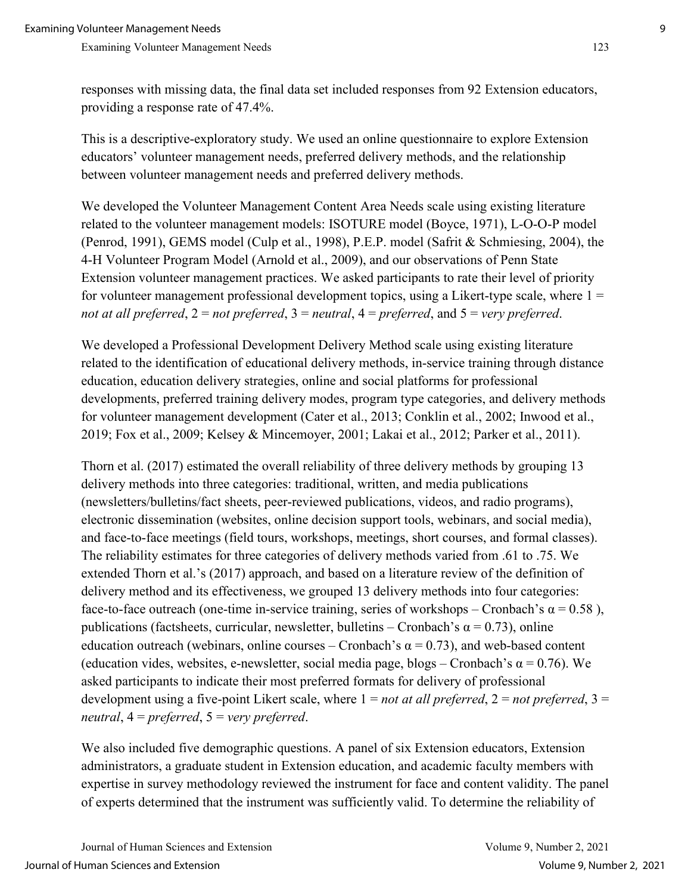responses with missing data, the final data set included responses from 92 Extension educators, providing a response rate of 47.4%.

This is a descriptive-exploratory study. We used an online questionnaire to explore Extension educators' volunteer management needs, preferred delivery methods, and the relationship between volunteer management needs and preferred delivery methods.

We developed the Volunteer Management Content Area Needs scale using existing literature related to the volunteer management models: ISOTURE model (Boyce, 1971), L-O-O-P model (Penrod, 1991), GEMS model (Culp et al., 1998), P.E.P. model (Safrit & Schmiesing, 2004), the 4-H Volunteer Program Model (Arnold et al., 2009), and our observations of Penn State Extension volunteer management practices. We asked participants to rate their level of priority for volunteer management professional development topics, using a Likert-type scale, where  $1 =$ *not at all preferred*, 2 = *not preferred*, 3 = *neutral*, 4 = *preferred*, and 5 = *very preferred*.

We developed a Professional Development Delivery Method scale using existing literature related to the identification of educational delivery methods, in-service training through distance education, education delivery strategies, online and social platforms for professional developments, preferred training delivery modes, program type categories, and delivery methods for volunteer management development (Cater et al., 2013; Conklin et al., 2002; Inwood et al., 2019; Fox et al., 2009; Kelsey & Mincemoyer, 2001; Lakai et al., 2012; Parker et al., 2011).

Thorn et al. (2017) estimated the overall reliability of three delivery methods by grouping 13 delivery methods into three categories: traditional, written, and media publications (newsletters/bulletins/fact sheets, peer-reviewed publications, videos, and radio programs), electronic dissemination (websites, online decision support tools, webinars, and social media), and face-to-face meetings (field tours, workshops, meetings, short courses, and formal classes). The reliability estimates for three categories of delivery methods varied from .61 to .75. We extended Thorn et al.'s (2017) approach, and based on a literature review of the definition of delivery method and its effectiveness, we grouped 13 delivery methods into four categories: face-to-face outreach (one-time in-service training, series of workshops – Cronbach's  $\alpha = 0.58$ ), publications (factsheets, curricular, newsletter, bulletins – Cronbach's  $\alpha = 0.73$ ), online education outreach (webinars, online courses – Cronbach's  $\alpha = 0.73$ ), and web-based content (education vides, websites, e-newsletter, social media page, blogs – Cronbach's  $\alpha$  = 0.76). We asked participants to indicate their most preferred formats for delivery of professional development using a five-point Likert scale, where 1 = *not at all preferred*, 2 = *not preferred*, 3 = *neutral*, 4 = *preferred*, 5 = *very preferred*.

We also included five demographic questions. A panel of six Extension educators, Extension administrators, a graduate student in Extension education, and academic faculty members with expertise in survey methodology reviewed the instrument for face and content validity. The panel of experts determined that the instrument was sufficiently valid. To determine the reliability of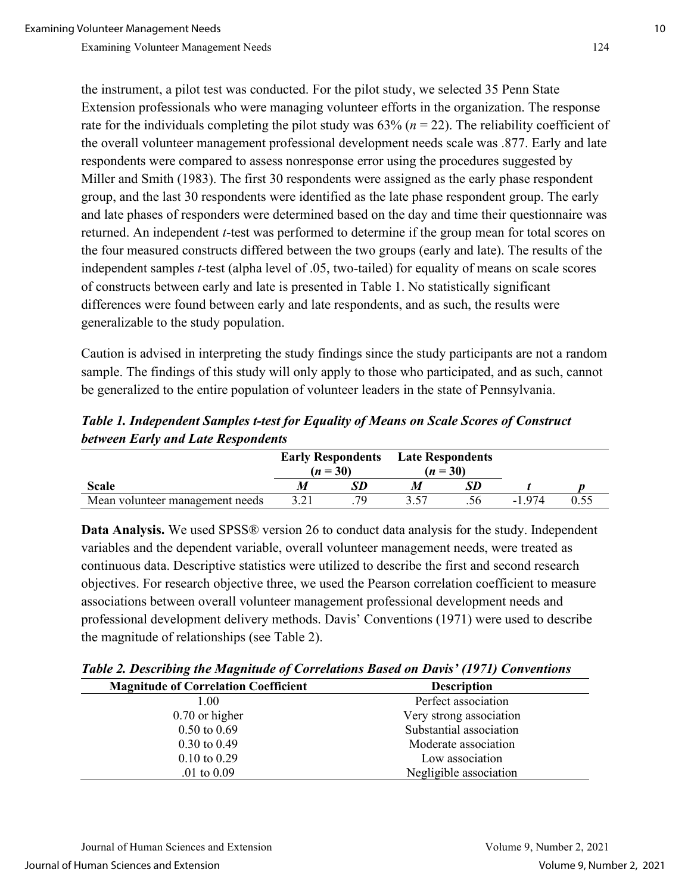the instrument, a pilot test was conducted. For the pilot study, we selected 35 Penn State Extension professionals who were managing volunteer efforts in the organization. The response rate for the individuals completing the pilot study was 63% (*n* = 22). The reliability coefficient of the overall volunteer management professional development needs scale was .877. Early and late respondents were compared to assess nonresponse error using the procedures suggested by Miller and Smith (1983). The first 30 respondents were assigned as the early phase respondent group, and the last 30 respondents were identified as the late phase respondent group. The early and late phases of responders were determined based on the day and time their questionnaire was returned. An independent *t*-test was performed to determine if the group mean for total scores on the four measured constructs differed between the two groups (early and late). The results of the independent samples *t-*test (alpha level of .05, two-tailed) for equality of means on scale scores of constructs between early and late is presented in Table 1. No statistically significant differences were found between early and late respondents, and as such, the results were generalizable to the study population.

Caution is advised in interpreting the study findings since the study participants are not a random sample. The findings of this study will only apply to those who participated, and as such, cannot be generalized to the entire population of volunteer leaders in the state of Pennsylvania.

*Table 1. Independent Samples t-test for Equality of Means on Scale Scores of Construct between Early and Late Respondents* 

|                                 | <b>Early Respondents</b><br>$(n = 30)$ |    | <b>Late Respondents</b><br>$(n = 30)$ |  |         |  |
|---------------------------------|----------------------------------------|----|---------------------------------------|--|---------|--|
| <b>Scale</b>                    |                                        |    |                                       |  |         |  |
| Mean volunteer management needs |                                        | 70 |                                       |  | $-1974$ |  |

**Data Analysis.** We used SPSS® version 26 to conduct data analysis for the study. Independent variables and the dependent variable, overall volunteer management needs, were treated as continuous data. Descriptive statistics were utilized to describe the first and second research objectives. For research objective three, we used the Pearson correlation coefficient to measure associations between overall volunteer management professional development needs and professional development delivery methods. Davis' Conventions (1971) were used to describe the magnitude of relationships (see Table 2).

*Table 2. Describing the Magnitude of Correlations Based on Davis' (1971) Conventions* 

| <b>Magnitude of Correlation Coefficient</b> | <b>Description</b>      |
|---------------------------------------------|-------------------------|
| 1.00                                        | Perfect association     |
| $0.70$ or higher                            | Very strong association |
| $0.50 \text{ to } 0.69$                     | Substantial association |
| $0.30 \text{ to } 0.49$                     | Moderate association    |
| $0.10 \text{ to } 0.29$                     | Low association         |
| .01 to $0.09$                               | Negligible association  |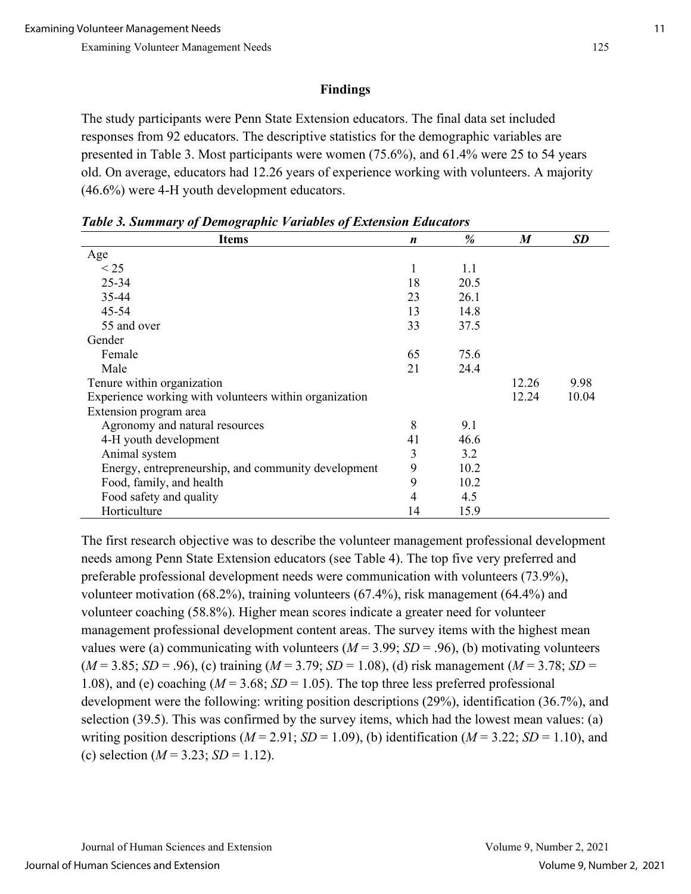# **Findings**

The study participants were Penn State Extension educators. The final data set included responses from 92 educators. The descriptive statistics for the demographic variables are presented in Table 3. Most participants were women (75.6%), and 61.4% were 25 to 54 years old. On average, educators had 12.26 years of experience working with volunteers. A majority (46.6%) were 4-H youth development educators.

| <b>Items</b>                                           | n  | %    | $\boldsymbol{M}$ | <b>SD</b> |
|--------------------------------------------------------|----|------|------------------|-----------|
| Age                                                    |    |      |                  |           |
| $<$ 25                                                 | 1  | 1.1  |                  |           |
| $25 - 34$                                              | 18 | 20.5 |                  |           |
| 35-44                                                  | 23 | 26.1 |                  |           |
| 45-54                                                  | 13 | 14.8 |                  |           |
| 55 and over                                            | 33 | 37.5 |                  |           |
| Gender                                                 |    |      |                  |           |
| Female                                                 | 65 | 75.6 |                  |           |
| Male                                                   | 21 | 24.4 |                  |           |
| Tenure within organization                             |    |      | 12.26            | 9.98      |
| Experience working with volunteers within organization |    |      | 12.24            | 10.04     |
| Extension program area                                 |    |      |                  |           |
| Agronomy and natural resources                         | 8  | 9.1  |                  |           |
| 4-H youth development                                  | 41 | 46.6 |                  |           |
| Animal system                                          | 3  | 3.2  |                  |           |
| Energy, entrepreneurship, and community development    | 9  | 10.2 |                  |           |
| Food, family, and health                               | 9  | 10.2 |                  |           |
| Food safety and quality                                | 4  | 4.5  |                  |           |
| Horticulture                                           | 14 | 15.9 |                  |           |

*Table 3. Summary of Demographic Variables of Extension Educators* 

The first research objective was to describe the volunteer management professional development needs among Penn State Extension educators (see Table 4). The top five very preferred and preferable professional development needs were communication with volunteers (73.9%), volunteer motivation (68.2%), training volunteers (67.4%), risk management (64.4%) and volunteer coaching (58.8%). Higher mean scores indicate a greater need for volunteer management professional development content areas. The survey items with the highest mean values were (a) communicating with volunteers ( $M = 3.99$ ;  $SD = .96$ ), (b) motivating volunteers  $(M = 3.85; SD = .96)$ , (c) training  $(M = 3.79; SD = 1.08)$ , (d) risk management  $(M = 3.78; SD =$ 1.08), and (e) coaching  $(M = 3.68; SD = 1.05)$ . The top three less preferred professional development were the following: writing position descriptions (29%), identification (36.7%), and selection (39.5). This was confirmed by the survey items, which had the lowest mean values: (a) writing position descriptions ( $M = 2.91$ ;  $SD = 1.09$ ), (b) identification ( $M = 3.22$ ;  $SD = 1.10$ ), and (c) selection  $(M = 3.23; SD = 1.12)$ .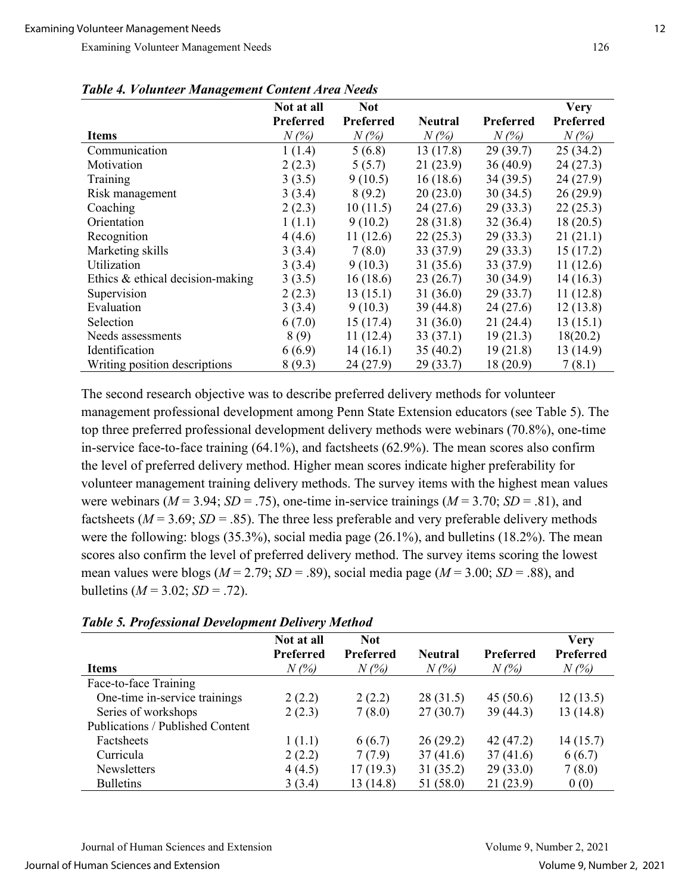|                                  | Not at all | <b>Not</b> |                |           | <b>Very</b> |
|----------------------------------|------------|------------|----------------|-----------|-------------|
|                                  | Preferred  | Preferred  | <b>Neutral</b> | Preferred | Preferred   |
| <b>Items</b>                     | $N(\%)$    | $N(\%)$    | $N(\%)$        | $N(\%)$   | $N(\%)$     |
| Communication                    | 1(1.4)     | 5(6.8)     | 13(17.8)       | 29(39.7)  | 25(34.2)    |
| Motivation                       | 2(2.3)     | 5(5.7)     | 21(23.9)       | 36(40.9)  | 24(27.3)    |
| Training                         | 3(3.5)     | 9(10.5)    | 16(18.6)       | 34(39.5)  | 24 (27.9)   |
| Risk management                  | 3(3.4)     | 8(9.2)     | 20(23.0)       | 30(34.5)  | 26(29.9)    |
| Coaching                         | 2(2.3)     | 10(11.5)   | 24(27.6)       | 29(33.3)  | 22(25.3)    |
| Orientation                      | 1(1.1)     | 9(10.2)    | 28 (31.8)      | 32(36.4)  | 18(20.5)    |
| Recognition                      | 4(4.6)     | 11(12.6)   | 22(25.3)       | 29(33.3)  | 21(21.1)    |
| Marketing skills                 | 3(3.4)     | 7(8.0)     | 33 (37.9)      | 29(33.3)  | 15 (17.2)   |
| Utilization                      | 3(3.4)     | 9(10.3)    | 31(35.6)       | 33 (37.9) | 11(12.6)    |
| Ethics & ethical decision-making | 3(3.5)     | 16(18.6)   | 23(26.7)       | 30(34.9)  | 14 (16.3)   |
| Supervision                      | 2(2.3)     | 13(15.1)   | 31(36.0)       | 29(33.7)  | 11(12.8)    |
| Evaluation                       | 3(3.4)     | 9(10.3)    | 39(44.8)       | 24(27.6)  | 12(13.8)    |
| Selection                        | 6(7.0)     | 15(17.4)   | 31(36.0)       | 21(24.4)  | 13(15.1)    |
| Needs assessments                | 8(9)       | 11(12.4)   | 33(37.1)       | 19(21.3)  | 18(20.2)    |
| Identification                   | 6(6.9)     | 14(16.1)   | 35(40.2)       | 19(21.8)  | 13(14.9)    |
| Writing position descriptions    | 8(9.3)     | 24 (27.9)  | 29(33.7)       | 18 (20.9) | 7(8.1)      |

*Table 4. Volunteer Management Content Area Needs* 

The second research objective was to describe preferred delivery methods for volunteer management professional development among Penn State Extension educators (see Table 5). The top three preferred professional development delivery methods were webinars (70.8%), one-time in-service face-to-face training (64.1%), and factsheets (62.9%). The mean scores also confirm the level of preferred delivery method. Higher mean scores indicate higher preferability for volunteer management training delivery methods. The survey items with the highest mean values were webinars ( $M = 3.94$ ;  $SD = .75$ ), one-time in-service trainings ( $M = 3.70$ ;  $SD = .81$ ), and factsheets ( $M = 3.69$ ;  $SD = .85$ ). The three less preferable and very preferable delivery methods were the following: blogs (35.3%), social media page (26.1%), and bulletins (18.2%). The mean scores also confirm the level of preferred delivery method. The survey items scoring the lowest mean values were blogs ( $M = 2.79$ ;  $SD = .89$ ), social media page ( $M = 3.00$ ;  $SD = .88$ ), and bulletins  $(M = 3.02; SD = .72)$ .

| <b>Table 5. Professional Development Delivery Method</b> |  |  |    |  |  |
|----------------------------------------------------------|--|--|----|--|--|
|                                                          |  |  | -- |  |  |

|                                  | Not at all       | <b>Not</b>       |                |                  | <b>Very</b>      |
|----------------------------------|------------------|------------------|----------------|------------------|------------------|
|                                  | <b>Preferred</b> | <b>Preferred</b> | <b>Neutral</b> | <b>Preferred</b> | <b>Preferred</b> |
| <b>Items</b>                     | $N(\%)$          | $N(\%)$          | $N(\%)$        | $N(\%)$          | $N(\%)$          |
| Face-to-face Training            |                  |                  |                |                  |                  |
| One-time in-service trainings    | 2(2.2)           | 2(2.2)           | 28(31.5)       | 45(50.6)         | 12(13.5)         |
| Series of workshops              | 2(2.3)           | 7(8.0)           | 27(30.7)       | 39(44.3)         | 13(14.8)         |
| Publications / Published Content |                  |                  |                |                  |                  |
| Factsheets                       | 1(1.1)           | 6(6.7)           | 26(29.2)       | 42(47.2)         | 14(15.7)         |
| Curricula                        | 2(2.2)           | 7(7.9)           | 37(41.6)       | 37(41.6)         | 6(6.7)           |
| Newsletters                      | 4(4.5)           | 17(19.3)         | 31(35.2)       | 29(33.0)         | 7(8.0)           |
| <b>Bulletins</b>                 | 3(3.4)           | 13 (14.8)        | 51 (58.0)      | 21(23.9)         | 0(0)             |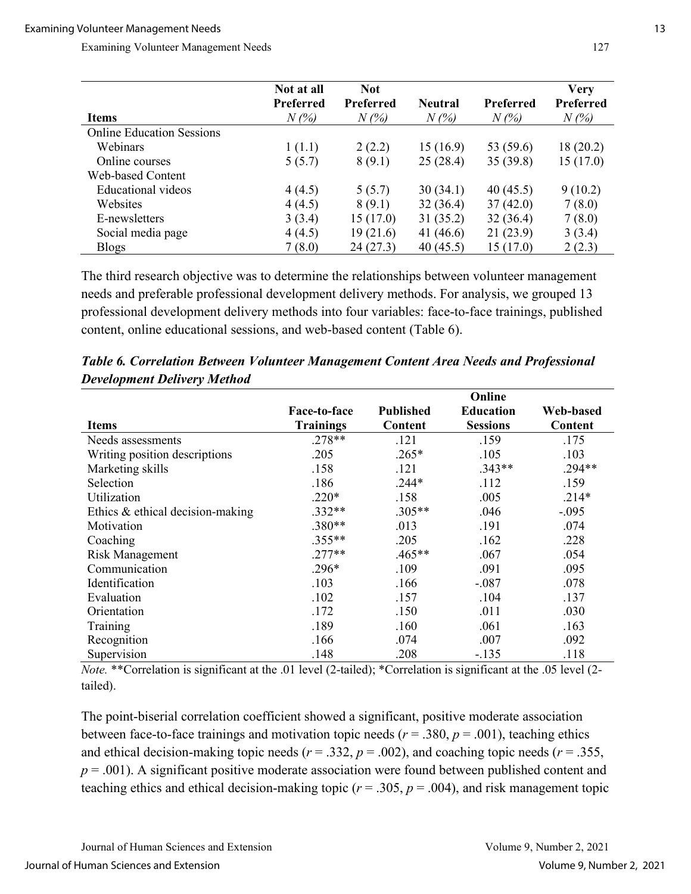|                                  | Not at all                  | <b>Not</b>                  |                           |                             | Very                 |
|----------------------------------|-----------------------------|-----------------------------|---------------------------|-----------------------------|----------------------|
| <b>Items</b>                     | <b>Preferred</b><br>$N(\%)$ | <b>Preferred</b><br>$N(\%)$ | <b>Neutral</b><br>$N(\%)$ | <b>Preferred</b><br>$N(\%)$ | Preferred<br>$N(\%)$ |
| <b>Online Education Sessions</b> |                             |                             |                           |                             |                      |
| <b>Webinars</b>                  | 1(1.1)                      | 2(2.2)                      | 15(16.9)                  | 53 (59.6)                   | 18 (20.2)            |
| Online courses                   | 5(5.7)                      | 8(9.1)                      | 25(28.4)                  | 35(39.8)                    | 15(17.0)             |
| Web-based Content                |                             |                             |                           |                             |                      |
| <b>Educational</b> videos        | 4(4.5)                      | 5(5.7)                      | 30(34.1)                  | 40(45.5)                    | 9(10.2)              |
| Websites                         | 4(4.5)                      | 8(9.1)                      | 32(36.4)                  | 37(42.0)                    | 7(8.0)               |
| E-newsletters                    | 3(3.4)                      | 15(17.0)                    | 31(35.2)                  | 32(36.4)                    | 7(8.0)               |
| Social media page                | 4(4.5)                      | 19(21.6)                    | 41 (46.6)                 | 21(23.9)                    | 3(3.4)               |
| <b>Blogs</b>                     | 7(8.0)                      | 24 (27.3)                   | 40(45.5)                  | 15(17.0)                    | 2(2.3)               |

The third research objective was to determine the relationships between volunteer management needs and preferable professional development delivery methods. For analysis, we grouped 13 professional development delivery methods into four variables: face-to-face trainings, published content, online educational sessions, and web-based content (Table 6).

|                                    |                  |                  | Online           |           |
|------------------------------------|------------------|------------------|------------------|-----------|
|                                    | Face-to-face     | <b>Published</b> | <b>Education</b> | Web-based |
| <b>Items</b>                       | <b>Trainings</b> | Content          | <b>Sessions</b>  | Content   |
| Needs assessments                  | $.278**$         | .121             | .159             | .175      |
| Writing position descriptions      | .205             | $.265*$          | .105             | .103      |
| Marketing skills                   | .158             | .121             | $.343**$         | $.294**$  |
| Selection                          | .186             | $.244*$          | .112             | .159      |
| Utilization                        | $.220*$          | .158             | .005             | $.214*$   |
| Ethics $&$ ethical decision-making | $.332**$         | $.305**$         | .046             | $-.095$   |
| Motivation                         | $.380**$         | .013             | .191             | .074      |
| Coaching                           | $.355**$         | .205             | .162             | .228      |
| <b>Risk Management</b>             | $.277**$         | $.465**$         | .067             | .054      |
| Communication                      | $.296*$          | .109             | .091             | .095      |
| Identification                     | .103             | .166             | $-.087$          | .078      |
| Evaluation                         | .102             | .157             | .104             | .137      |
| Orientation                        | .172             | .150             | .011             | .030      |
| Training                           | .189             | .160             | .061             | .163      |
| Recognition                        | .166             | .074             | .007             | .092      |
| Supervision                        | .148             | .208             | $-.135$          | .118      |

*Table 6. Correlation Between Volunteer Management Content Area Needs and Professional Development Delivery Method*

*Note.* \*\*Correlation is significant at the .01 level (2-tailed); \*Correlation is significant at the .05 level (2 tailed).

The point-biserial correlation coefficient showed a significant, positive moderate association between face-to-face trainings and motivation topic needs ( $r = .380$ ,  $p = .001$ ), teaching ethics and ethical decision-making topic needs ( $r = .332$ ,  $p = .002$ ), and coaching topic needs ( $r = .355$ ,  $p = .001$ ). A significant positive moderate association were found between published content and teaching ethics and ethical decision-making topic ( $r = .305$ ,  $p = .004$ ), and risk management topic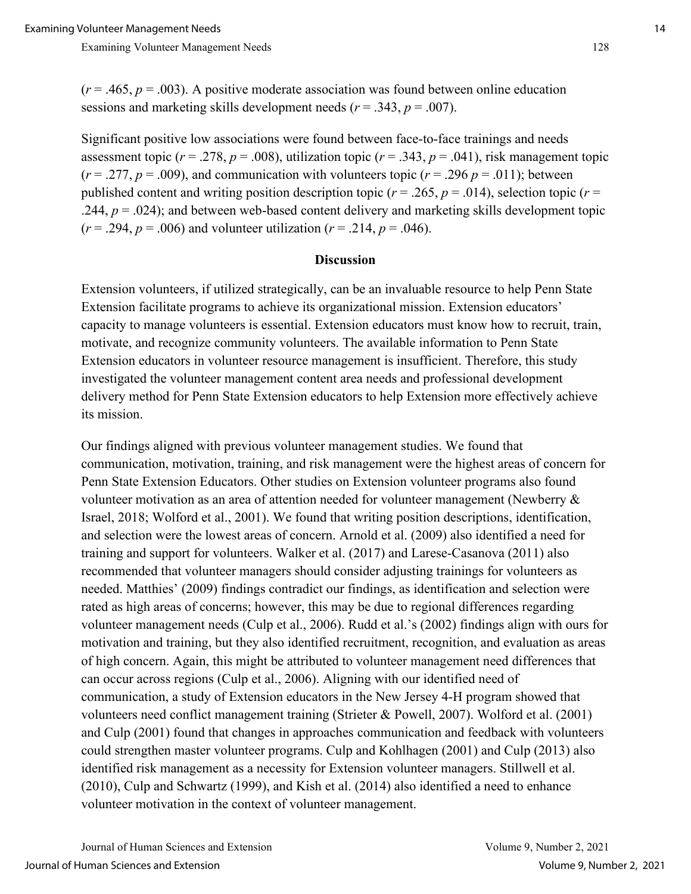$(r = .465, p = .003)$ . A positive moderate association was found between online education sessions and marketing skills development needs (*r* = .343, *p* = .007).

Significant positive low associations were found between face-to-face trainings and needs assessment topic ( $r = .278$ ,  $p = .008$ ), utilization topic ( $r = .343$ ,  $p = .041$ ), risk management topic  $(r = .277, p = .009)$ , and communication with volunteers topic  $(r = .296 p = .011)$ ; between published content and writing position description topic ( $r = .265$ ,  $p = .014$ ), selection topic ( $r =$ .244,  $p = .024$ ); and between web-based content delivery and marketing skills development topic  $(r = .294, p = .006)$  and volunteer utilization  $(r = .214, p = .046)$ .

#### **Discussion**

Extension volunteers, if utilized strategically, can be an invaluable resource to help Penn State Extension facilitate programs to achieve its organizational mission. Extension educators' capacity to manage volunteers is essential. Extension educators must know how to recruit, train, motivate, and recognize community volunteers. The available information to Penn State Extension educators in volunteer resource management is insufficient. Therefore, this study investigated the volunteer management content area needs and professional development delivery method for Penn State Extension educators to help Extension more effectively achieve its mission.

Our findings aligned with previous volunteer management studies. We found that communication, motivation, training, and risk management were the highest areas of concern for Penn State Extension Educators. Other studies on Extension volunteer programs also found volunteer motivation as an area of attention needed for volunteer management (Newberry & Israel, 2018; Wolford et al., 2001). We found that writing position descriptions, identification, and selection were the lowest areas of concern. Arnold et al. (2009) also identified a need for training and support for volunteers. Walker et al. (2017) and Larese-Casanova (2011) also recommended that volunteer managers should consider adjusting trainings for volunteers as needed. Matthies' (2009) findings contradict our findings, as identification and selection were rated as high areas of concerns; however, this may be due to regional differences regarding volunteer management needs (Culp et al., 2006). Rudd et al.'s (2002) findings align with ours for motivation and training, but they also identified recruitment, recognition, and evaluation as areas of high concern. Again, this might be attributed to volunteer management need differences that can occur across regions (Culp et al., 2006). Aligning with our identified need of communication, a study of Extension educators in the New Jersey 4-H program showed that volunteers need conflict management training (Strieter & Powell, 2007). Wolford et al. (2001) and Culp (2001) found that changes in approaches communication and feedback with volunteers could strengthen master volunteer programs. Culp and Kohlhagen (2001) and Culp (2013) also identified risk management as a necessity for Extension volunteer managers. Stillwell et al. (2010), Culp and Schwartz (1999), and Kish et al. (2014) also identified a need to enhance volunteer motivation in the context of volunteer management.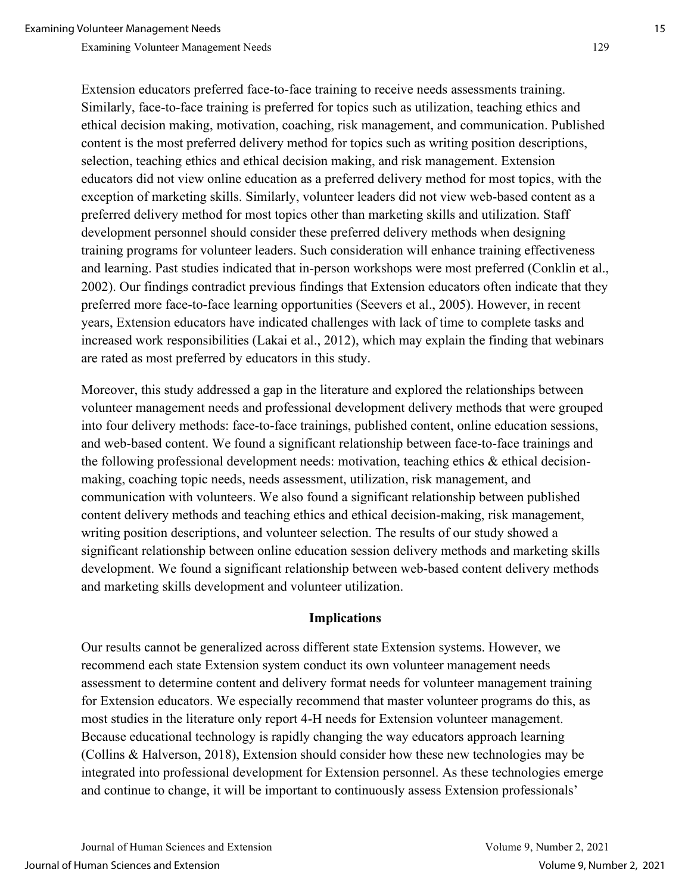Extension educators preferred face-to-face training to receive needs assessments training. Similarly, face-to-face training is preferred for topics such as utilization, teaching ethics and ethical decision making, motivation, coaching, risk management, and communication. Published content is the most preferred delivery method for topics such as writing position descriptions, selection, teaching ethics and ethical decision making, and risk management. Extension educators did not view online education as a preferred delivery method for most topics, with the exception of marketing skills. Similarly, volunteer leaders did not view web-based content as a preferred delivery method for most topics other than marketing skills and utilization. Staff development personnel should consider these preferred delivery methods when designing training programs for volunteer leaders. Such consideration will enhance training effectiveness and learning. Past studies indicated that in-person workshops were most preferred (Conklin et al., 2002). Our findings contradict previous findings that Extension educators often indicate that they preferred more face-to-face learning opportunities (Seevers et al., 2005). However, in recent years, Extension educators have indicated challenges with lack of time to complete tasks and increased work responsibilities (Lakai et al., 2012), which may explain the finding that webinars are rated as most preferred by educators in this study.

Moreover, this study addressed a gap in the literature and explored the relationships between volunteer management needs and professional development delivery methods that were grouped into four delivery methods: face-to-face trainings, published content, online education sessions, and web-based content. We found a significant relationship between face-to-face trainings and the following professional development needs: motivation, teaching ethics  $\&$  ethical decisionmaking, coaching topic needs, needs assessment, utilization, risk management, and communication with volunteers. We also found a significant relationship between published content delivery methods and teaching ethics and ethical decision-making, risk management, writing position descriptions, and volunteer selection. The results of our study showed a significant relationship between online education session delivery methods and marketing skills development. We found a significant relationship between web-based content delivery methods and marketing skills development and volunteer utilization.

#### **Implications**

Our results cannot be generalized across different state Extension systems. However, we recommend each state Extension system conduct its own volunteer management needs assessment to determine content and delivery format needs for volunteer management training for Extension educators. We especially recommend that master volunteer programs do this, as most studies in the literature only report 4-H needs for Extension volunteer management. Because educational technology is rapidly changing the way educators approach learning (Collins & Halverson, 2018), Extension should consider how these new technologies may be integrated into professional development for Extension personnel. As these technologies emerge and continue to change, it will be important to continuously assess Extension professionals'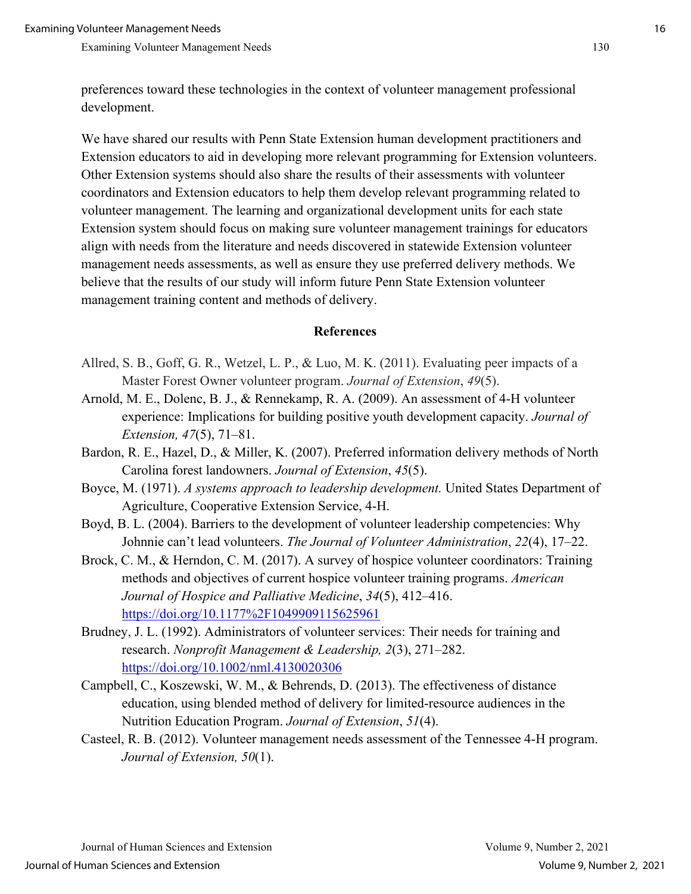preferences toward these technologies in the context of volunteer management professional development.

We have shared our results with Penn State Extension human development practitioners and Extension educators to aid in developing more relevant programming for Extension volunteers. Other Extension systems should also share the results of their assessments with volunteer coordinators and Extension educators to help them develop relevant programming related to volunteer management. The learning and organizational development units for each state Extension system should focus on making sure volunteer management trainings for educators align with needs from the literature and needs discovered in statewide Extension volunteer management needs assessments, as well as ensure they use preferred delivery methods. We believe that the results of our study will inform future Penn State Extension volunteer management training content and methods of delivery.

#### **References**

- Allred, S. B., Goff, G. R., Wetzel, L. P., & Luo, M. K. (2011). Evaluating peer impacts of a Master Forest Owner volunteer program. *Journal of Extension*, *49*(5).
- Arnold, M. E., Dolenc, B. J., & Rennekamp, R. A. (2009). An assessment of 4-H volunteer experience: Implications for building positive youth development capacity. *Journal of Extension, 47*(5), 71–81.
- Bardon, R. E., Hazel, D., & Miller, K. (2007). Preferred information delivery methods of North Carolina forest landowners. *Journal of Extension*, *45*(5).
- Boyce, M. (1971). *A systems approach to leadership development.* United States Department of Agriculture, Cooperative Extension Service, 4-H.
- Boyd, B. L. (2004). Barriers to the development of volunteer leadership competencies: Why Johnnie can't lead volunteers. *The Journal of Volunteer Administration*, *22*(4), 17–22.
- Brock, C. M., & Herndon, C. M. (2017). A survey of hospice volunteer coordinators: Training methods and objectives of current hospice volunteer training programs. *American Journal of Hospice and Palliative Medicine*, *34*(5), 412–416. <https://doi.org/10.1177%2F1049909115625961>
- Brudney, J. L. (1992). Administrators of volunteer services: Their needs for training and research. *Nonprofit Management & Leadership, 2*(3), 271–282. <https://doi.org/10.1002/nml.4130020306>
- Campbell, C., Koszewski, W. M., & Behrends, D. (2013). The effectiveness of distance education, using blended method of delivery for limited-resource audiences in the Nutrition Education Program. *Journal of Extension*, *51*(4).
- Casteel, R. B. (2012). Volunteer management needs assessment of the Tennessee 4-H program. *Journal of Extension, 50*(1).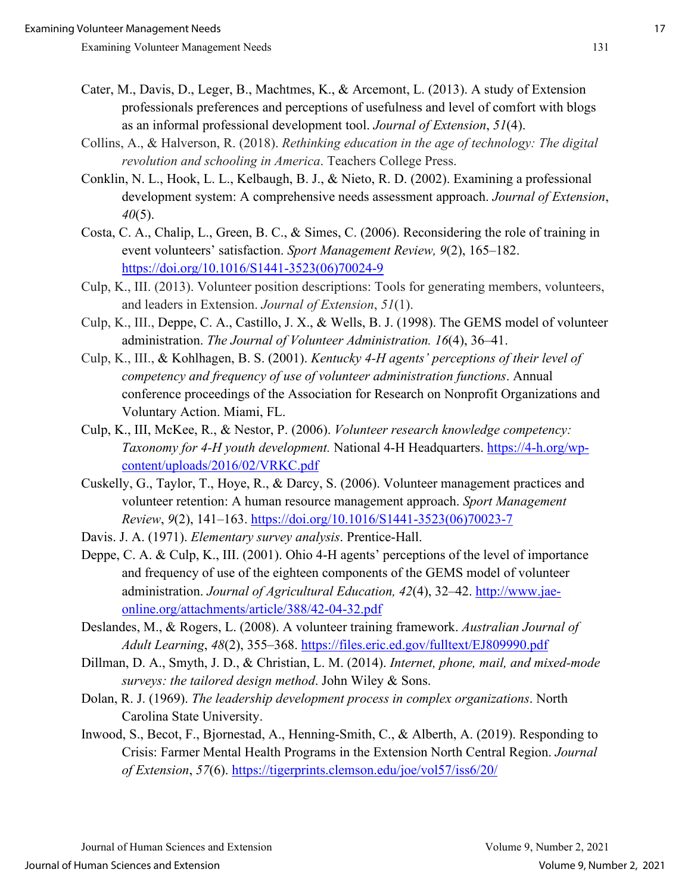- Cater, M., Davis, D., Leger, B., Machtmes, K., & Arcemont, L. (2013). A study of Extension professionals preferences and perceptions of usefulness and level of comfort with blogs as an informal professional development tool. *Journal of Extension*, *51*(4).
- Collins, A., & Halverson, R. (2018). *Rethinking education in the age of technology: The digital revolution and schooling in America*. Teachers College Press.
- Conklin, N. L., Hook, L. L., Kelbaugh, B. J., & Nieto, R. D. (2002). Examining a professional development system: A comprehensive needs assessment approach. *Journal of Extension*, *40*(5).
- Costa, C. A., Chalip, L., Green, B. C., & Simes, C. (2006). Reconsidering the role of training in event volunteers' satisfaction. *Sport Management Review, 9*(2), 165–182. [https://doi.org/10.1016/S1441-3523\(06\)70024-9](https://doi.org/10.1016/S1441-3523(06)70024-9)
- Culp, K., III. (2013). Volunteer position descriptions: Tools for generating members, volunteers, and leaders in Extension. *Journal of Extension*, *51*(1).
- Culp, K., III., Deppe, C. A., Castillo, J. X., & Wells, B. J. (1998). The GEMS model of volunteer administration. *The Journal of Volunteer Administration. 16*(4), 36–41.
- Culp, K., III., & Kohlhagen, B. S. (2001). *Kentucky 4-H agents' perceptions of their level of competency and frequency of use of volunteer administration functions*. Annual conference proceedings of the Association for Research on Nonprofit Organizations and Voluntary Action. Miami, FL.
- Culp, K., III, McKee, R., & Nestor, P. (2006). *Volunteer research knowledge competency: Taxonomy for 4-H youth development.* National 4-H Headquarters. [https://4-h.org/wp](https://4-h.org/wp-content/uploads/2016/02/VRKC.pdf)[content/uploads/2016/02/VRKC.pdf](https://4-h.org/wp-content/uploads/2016/02/VRKC.pdf)
- Cuskelly, G., Taylor, T., Hoye, R., & Darcy, S. (2006). Volunteer management practices and volunteer retention: A human resource management approach. *Sport Management Review*, *9*(2), 141–163. [https://doi.org/10.1016/S1441-3523\(06\)70023-7](https://doi.org/10.1016/S1441-3523(06)70023-7)
- Davis. J. A. (1971). *Elementary survey analysis*. Prentice-Hall.
- Deppe, C. A. & Culp, K., III. (2001). Ohio 4-H agents' perceptions of the level of importance and frequency of use of the eighteen components of the GEMS model of volunteer administration. *Journal of Agricultural Education, 42*(4), 32–42. [http://www.jae](http://www.jae-online.org/attachments/article/388/42-04-32.pdf)[online.org/attachments/article/388/42-04-32.pdf](http://www.jae-online.org/attachments/article/388/42-04-32.pdf)
- Deslandes, M., & Rogers, L. (2008). A volunteer training framework. *Australian Journal of Adult Learning*, *48*(2), 355–368.<https://files.eric.ed.gov/fulltext/EJ809990.pdf>
- Dillman, D. A., Smyth, J. D., & Christian, L. M. (2014). *Internet, phone, mail, and mixed-mode surveys: the tailored design method*. John Wiley & Sons.
- Dolan, R. J. (1969). *The leadership development process in complex organizations*. North Carolina State University.
- Inwood, S., Becot, F., Bjornestad, A., Henning-Smith, C., & Alberth, A. (2019). Responding to Crisis: Farmer Mental Health Programs in the Extension North Central Region. *Journal of Extension*, *57*(6).<https://tigerprints.clemson.edu/joe/vol57/iss6/20/>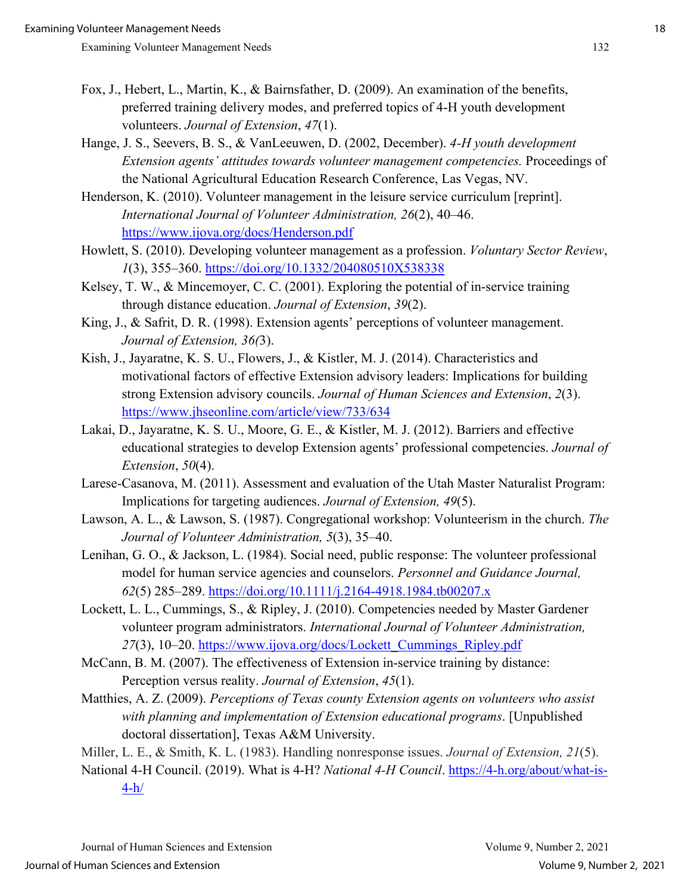- Fox, J., Hebert, L., Martin, K., & Bairnsfather, D. (2009). An examination of the benefits, preferred training delivery modes, and preferred topics of 4-H youth development volunteers. *Journal of Extension*, *47*(1).
- Hange, J. S., Seevers, B. S., & VanLeeuwen, D. (2002, December). *4-H youth development Extension agents' attitudes towards volunteer management competencies.* Proceedings of the National Agricultural Education Research Conference, Las Vegas, NV.
- Henderson, K. (2010). Volunteer management in the leisure service curriculum [reprint]. *International Journal of Volunteer Administration, 26*(2), 40–46. <https://www.ijova.org/docs/Henderson.pdf>
- Howlett, S. (2010). Developing volunteer management as a profession. *Voluntary Sector Review*, *1*(3), 355–360.<https://doi.org/10.1332/204080510X538338>
- Kelsey, T. W., & Mincemoyer, C. C. (2001). Exploring the potential of in-service training through distance education. *Journal of Extension*, *39*(2).
- King, J., & Safrit, D. R. (1998). Extension agents' perceptions of volunteer management. *Journal of Extension, 36(*3).
- Kish, J., Jayaratne, K. S. U., Flowers, J., & Kistler, M. J. (2014). Characteristics and motivational factors of effective Extension advisory leaders: Implications for building strong Extension advisory councils. *Journal of Human Sciences and Extension*, *2*(3). <https://www.jhseonline.com/article/view/733/634>
- Lakai, D., Jayaratne, K. S. U., Moore, G. E., & Kistler, M. J. (2012). Barriers and effective educational strategies to develop Extension agents' professional competencies. *Journal of Extension*, *50*(4).
- Larese-Casanova, M. (2011). Assessment and evaluation of the Utah Master Naturalist Program: Implications for targeting audiences. *Journal of Extension, 49*(5).
- Lawson, A. L., & Lawson, S. (1987). Congregational workshop: Volunteerism in the church. *The Journal of Volunteer Administration, 5*(3), 35–40.
- Lenihan, G. O., & Jackson, L. (1984). Social need, public response: The volunteer professional model for human service agencies and counselors. *Personnel and Guidance Journal, 62*(5) 285–289. [https://doi.org/10.1111/j.2164-4918.1984.tb00207.x](https://psycnet.apa.org/doi/10.1111/j.2164-4918.1984.tb00207.x)
- Lockett, L. L., Cummings, S., & Ripley, J. (2010). Competencies needed by Master Gardener volunteer program administrators. *International Journal of Volunteer Administration, 27*(3), 10–20. [https://www.ijova.org/docs/Lockett\\_Cummings\\_Ripley.pdf](https://www.ijova.org/docs/Lockett_Cummings_Ripley.pdf)
- McCann, B. M. (2007). The effectiveness of Extension in-service training by distance: Perception versus reality. *Journal of Extension*, *45*(1).
- Matthies, A. Z. (2009). *Perceptions of Texas county Extension agents on volunteers who assist with planning and implementation of Extension educational programs*. [Unpublished doctoral dissertation], Texas A&M University.
- Miller, L. E., & Smith, K. L. (1983). Handling nonresponse issues. *Journal of Extension, 21*(5).
- National 4-H Council. (2019). What is 4-H? *National 4-H Council*. [https://4-h.org/about/what-is-](https://4-h.org/about/what-is-4-h/)[4-h/](https://4-h.org/about/what-is-4-h/)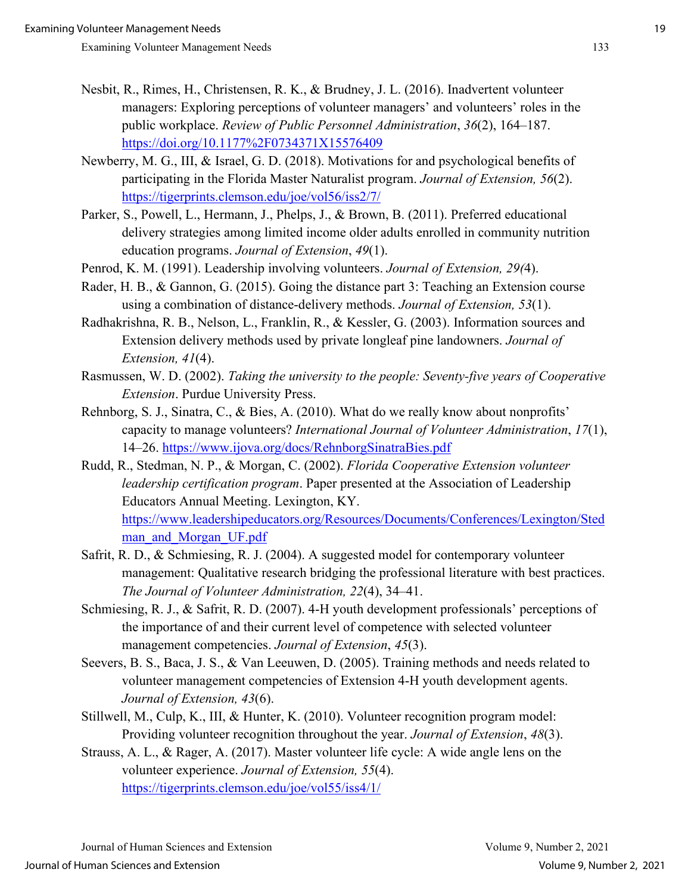- Nesbit, R., Rimes, H., Christensen, R. K., & Brudney, J. L. (2016). Inadvertent volunteer managers: Exploring perceptions of volunteer managers' and volunteers' roles in the public workplace. *Review of Public Personnel Administration*, *36*(2), 164–187. <https://doi.org/10.1177%2F0734371X15576409>
- Newberry, M. G., III, & Israel, G. D. (2018). Motivations for and psychological benefits of participating in the Florida Master Naturalist program. *Journal of Extension, 56*(2). <https://tigerprints.clemson.edu/joe/vol56/iss2/7/>
- Parker, S., Powell, L., Hermann, J., Phelps, J., & Brown, B. (2011). Preferred educational delivery strategies among limited income older adults enrolled in community nutrition education programs. *Journal of Extension*, *49*(1).
- Penrod, K. M. (1991). Leadership involving volunteers. *Journal of Extension, 29(*4).
- Rader, H. B., & Gannon, G. (2015). Going the distance part 3: Teaching an Extension course using a combination of distance-delivery methods. *Journal of Extension, 53*(1).
- Radhakrishna, R. B., Nelson, L., Franklin, R., & Kessler, G. (2003). Information sources and Extension delivery methods used by private longleaf pine landowners. *Journal of Extension, 41*(4).
- Rasmussen, W. D. (2002). *Taking the university to the people: Seventy-five years of Cooperative Extension*. Purdue University Press.
- Rehnborg, S. J., Sinatra, C., & Bies, A. (2010). What do we really know about nonprofits' capacity to manage volunteers? *International Journal of Volunteer Administration*, *17*(1), 14–26.<https://www.ijova.org/docs/RehnborgSinatraBies.pdf>
- Rudd, R., Stedman, N. P., & Morgan, C. (2002). *Florida Cooperative Extension volunteer leadership certification program*. Paper presented at the Association of Leadership Educators Annual Meeting. Lexington, KY. [https://www.leadershipeducators.org/Resources/Documents/Conferences/Lexington/Sted](https://www.leadershipeducators.org/Resources/Documents/Conferences/Lexington/Stedman_and_Morgan_UF.pdf) man and Morgan UF.pdf
- Safrit, R. D., & Schmiesing, R. J. (2004). A suggested model for contemporary volunteer management: Qualitative research bridging the professional literature with best practices. *The Journal of Volunteer Administration, 22*(4), 34–41.
- Schmiesing, R. J., & Safrit, R. D. (2007). 4-H youth development professionals' perceptions of the importance of and their current level of competence with selected volunteer management competencies. *Journal of Extension*, *45*(3).
- Seevers, B. S., Baca, J. S., & Van Leeuwen, D. (2005). Training methods and needs related to volunteer management competencies of Extension 4-H youth development agents. *Journal of Extension, 43*(6).
- Stillwell, M., Culp, K., III, & Hunter, K. (2010). Volunteer recognition program model: Providing volunteer recognition throughout the year. *Journal of Extension*, *48*(3).
- Strauss, A. L., & Rager, A. (2017). Master volunteer life cycle: A wide angle lens on the volunteer experience. *Journal of Extension, 55*(4). <https://tigerprints.clemson.edu/joe/vol55/iss4/1/>